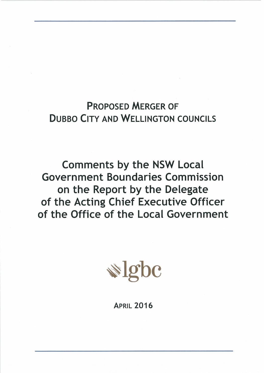# **PROPOSED MERGER OF DUBBO CITY AND WELLINGTON COUNCILS**

**Comments by the NSW Local Government Boundaries Commission** on the Report by the Delegate of the Acting Chief Executive Officer of the Office of the Local Government



**APRIL 2016**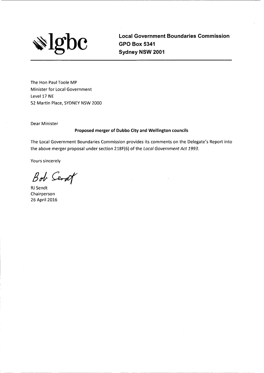

**Local Government Boundaries Commission GPO Box 5341** Sydney NSW 2001

The Hon Paul Toole MP Minister for Local Government Level 17 NE 52 Martin Place, SYDNEY NSW 2000

**Dear Minister** 

#### Proposed merger of Dubbo City and Wellington councils

The Local Government Boundaries Commission provides its comments on the Delegate's Report into the above merger proposal under section 218F(6) of the Local Government Act 1993.

Yours sincerely

Bob Serat

RJ Sendt Chairperson 26 April 2016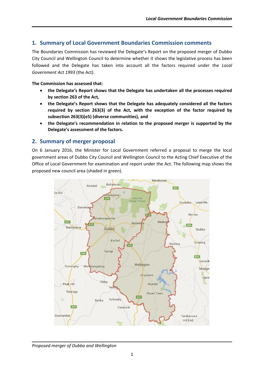# **1. Summary of Local Government Boundaries Commission comments**

The Boundaries Commission has reviewed the Delegate's Report on the proposed merger of Dubbo City Council and Wellington Council to determine whether it shows the legislative process has been followed and the Delegate has taken into account all the factors required under the *Local Government Act 1993* (the Act).

#### **The Commission has assessed that:**

- **the Delegate's Report shows that the Delegate has undertaken all the processes required by section 263 of the Act***,*
- **the Delegate's Report shows that the Delegate has adequately considered all the factors required by section 263(3) of the Act, with the exception of the factor required by subsection 263(3)(e5) (diverse communities), and**
- **the Delegate's recommendation in relation to the proposed merger is supported by the Delegate's assessment of the factors.**

# **2. Summary of merger proposal**

On 6 January 2016, the Minister for Local Government referred a proposal to merge the local government areas of Dubbo City Council and Wellington Council to the Acting Chief Executive of the Office of Local Government for examination and report under the Act. The following map shows the proposed new council area (shaded in green).



#### *Proposed merger of Dubbo and Wellington*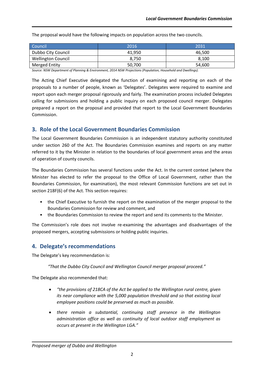The proposal would have the following impacts on population across the two councils.

| Council                   | 2016   | 2031   |
|---------------------------|--------|--------|
| Dubbo City Council        | 41.950 | 46.500 |
| <b>Wellington Council</b> | 8.750  | 8.100  |
| <b>Merged Entity</b>      | 50,700 | 54,600 |

*Source: NSW Department of Planning & Environment, 2014 NSW Projections (Population, Household and Dwellings).*

The Acting Chief Executive delegated the function of examining and reporting on each of the proposals to a number of people, known as 'Delegates'. Delegates were required to examine and report upon each merger proposal rigorously and fairly. The examination process included Delegates calling for submissions and holding a public inquiry on each proposed council merger. Delegates prepared a report on the proposal and provided that report to the Local Government Boundaries Commission.

# **3. Role of the Local Government Boundaries Commission**

The Local Government Boundaries Commission is an independent statutory authority constituted under section 260 of the Act. The Boundaries Commission examines and reports on any matter referred to it by the Minister in relation to the boundaries of local government areas and the areas of operation of county councils.

The Boundaries Commission has several functions under the Act. In the current context (where the Minister has elected to refer the proposal to the Office of Local Government, rather than the Boundaries Commission, for examination), the most relevant Commission functions are set out in section 218F(6) of the Act. This section requires:

- the Chief Executive to furnish the report on the examination of the merger proposal to the Boundaries Commission for review and comment, and
- the Boundaries Commission to review the report and send its comments to the Minister.

The Commission's role does not involve re-examining the advantages and disadvantages of the proposed mergers, accepting submissions or holding public inquiries.

# **4. Delegate's recommendations**

The Delegate's key recommendation is:

*"That the Dubbo City Council and Wellington Council merger proposal proceed."*

The Delegate also recommended that:

- *"the provisions of 218CA of the Act be applied to the Wellington rural centre, given its near compliance with the 5,000 population threshold and so that existing local employee positions could be preserved as much as possible.*
- *there remain a substantial, continuing staff presence in the Wellington administration office as well as continuity of local outdoor staff employment as occurs at present in the Wellington LGA."*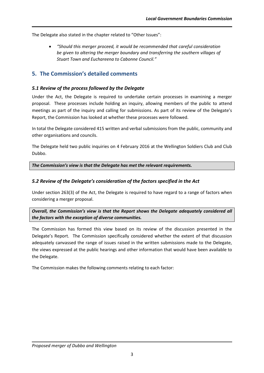The Delegate also stated in the chapter related to "Other Issues":

 *"Should this merger proceed, it would be recommended that careful consideration be given to altering the merger boundary and transferring the southern villages of Stuart Town and Euchareena to Cabonne Council."*

# **5. The Commission's detailed comments**

#### *5.1 Review of the process followed by the Delegate*

Under the Act, the Delegate is required to undertake certain processes in examining a merger proposal. These processes include holding an inquiry, allowing members of the public to attend meetings as part of the inquiry and calling for submissions. As part of its review of the Delegate's Report, the Commission has looked at whether these processes were followed.

In total the Delegate considered 415 written and verbal submissions from the public, community and other organisations and councils.

The Delegate held two public inquiries on 4 February 2016 at the Wellington Soldiers Club and Club Dubbo.

*The Commission's view is that the Delegate has met the relevant requirements.*

#### *5.2 Review of the Delegate's consideration of the factors specified in the Act*

Under section 263(3) of the Act, the Delegate is required to have regard to a range of factors when considering a merger proposal.

*Overall, the Commission's view is that the Report shows the Delegate adequately considered all the factors with the exception of diverse communities.*

The Commission has formed this view based on its review of the discussion presented in the Delegate's Report. The Commission specifically considered whether the extent of that discussion adequately canvassed the range of issues raised in the written submissions made to the Delegate, the views expressed at the public hearings and other information that would have been available to the Delegate.

The Commission makes the following comments relating to each factor: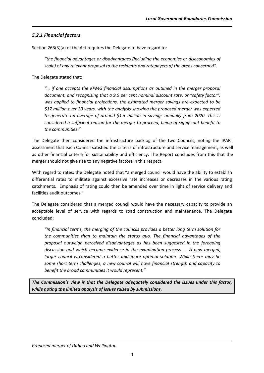# *5.2.1 Financial factors*

Section 263(3)(a) of the Act requires the Delegate to have regard to:

*"the financial advantages or disadvantages (including the economies or diseconomies of scale) of any relevant proposal to the residents and ratepayers of the areas concerned".*

The Delegate stated that:

*"… if one accepts the KPMG financial assumptions as outlined in the merger proposal document, and recognising that a 9.5 per cent nominal discount rate, or "safety factor", was applied to financial projections, the estimated merger savings are expected to be \$17 million over 20 years, with the analysis showing the proposed merger was expected to generate an average of around \$1.5 million in savings annually from 2020. This is considered a sufficient reason for the merger to proceed, being of significant benefit to the communities."* 

The Delegate then considered the infrastructure backlog of the two Councils, noting the IPART assessment that each Council satisfied the criteria of infrastructure and service management, as well as other financial criteria for sustainability and efficiency. The Report concludes from this that the merger should not give rise to any negative factors in this respect.

With regard to rates, the Delegate noted that "a merged council would have the ability to establish differential rates to militate against excessive rate increases or decreases in the various rating catchments. Emphasis of rating could then be amended over time in light of service delivery and facilities audit outcomes."

The Delegate considered that a merged council would have the necessary capacity to provide an acceptable level of service with regards to road construction and maintenance. The Delegate concluded:

*"In financial terms, the merging of the councils provides a better long term solution for the communities than to maintain the status quo. The financial advantages of the proposal outweigh perceived disadvantages as has been suggested in the foregoing discussion and which became evidence in the examination process. … A new merged, larger council is considered a better and more optimal solution. While there may be some short term challenges, a new council will have financial strength and capacity to benefit the broad communities it would represent."*

*The Commission's view is that the Delegate adequately considered the issues under this factor, while noting the limited analysis of issues raised by submissions.*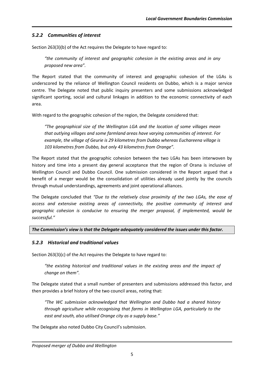# *5.2.2 Communities of interest*

Section 263(3)(b) of the Act requires the Delegate to have regard to:

*"the community of interest and geographic cohesion in the existing areas and in any proposed new area".*

The Report stated that the community of interest and geographic cohesion of the LGAs is underscored by the reliance of Wellington Council residents on Dubbo, which is a major service centre. The Delegate noted that public inquiry presenters and some submissions acknowledged significant sporting, social and cultural linkages in addition to the economic connectivity of each area.

With regard to the geographic cohesion of the region, the Delegate considered that:

*"The geographical size of the Wellington LGA and the location of some villages mean that outlying villages and some farmland areas have varying communities of interest. For example, the village of Geurie is 29 kilometres from Dubbo whereas Euchareena village is 103 kilometres from Dubbo, but only 43 kilometres from Orange".*

The Report stated that the geographic cohesion between the two LGAs has been interwoven by history and time into a present day general acceptance that the region of Orana is inclusive of Wellington Council and Dubbo Council. One submission considered in the Report argued that a benefit of a merger would be the consolidation of utilities already used jointly by the councils through mutual understandings, agreements and joint operational alliances.

The Delegate concluded that *"Due to the relatively close proximity of the two LGAs, the ease of access and extensive existing areas of connectivity, the positive community of interest and geographic cohesion is conducive to ensuring the merger proposal, if implemented, would be successful."*

#### *The Commission's view is that the Delegate adequately considered the issues under this factor.*

## *5.2.3 Historical and traditional values*

Section 263(3)(c) of the Act requires the Delegate to have regard to:

*"the existing historical and traditional values in the existing areas and the impact of change on them".*

The Delegate stated that a small number of presenters and submissions addressed this factor, and then provides a brief history of the two council areas, noting that:

*"The WC submission acknowledged that Wellington and Dubbo had a shared history through agriculture while recognising that farms in Wellington LGA, particularly to the east and south, also utilised Orange city as a supply base."* 

The Delegate also noted Dubbo City Council's submission.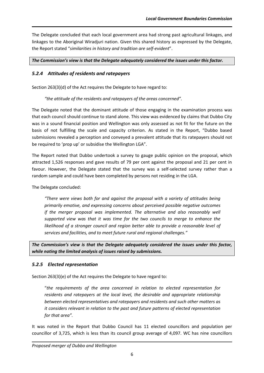The Delegate concluded that each local government area had strong past agricultural linkages, and linkages to the Aboriginal Wiradjuri nation. Given this shared history as expressed by the Delegate, the Report stated "*similarities in history and tradition are self-evident*".

*The Commission's view is that the Delegate adequately considered the issues under this factor.*

# *5.2.4 Attitudes of residents and ratepayers*

Section 263(3)(d) of the Act requires the Delegate to have regard to:

*"the attitude of the residents and ratepayers of the areas concerned".*

The Delegate noted that the dominant attitude of those engaging in the examination process was that each council should continue to stand alone. This view was evidenced by claims that Dubbo City was in a sound financial position and Wellington was only assessed as not fit for the future on the basis of not fulfilling the scale and capacity criterion. As stated in the Report, "Dubbo based submissions revealed a perception and conveyed a prevalent attitude that its ratepayers should not be required to 'prop up' or subsidise the Wellington LGA".

The Report noted that Dubbo undertook a survey to gauge public opinion on the proposal, which attracted 1,526 responses and gave results of 79 per cent against the proposal and 21 per cent in favour. However, the Delegate stated that the survey was a self-selected survey rather than a random sample and could have been completed by persons not residing in the LGA.

The Delegate concluded:

*"There were views both for and against the proposal with a variety of attitudes being primarily emotive, and expressing concerns about perceived possible negative outcomes if the merger proposal was implemented. The alternative and also reasonably well supported view was that it was time for the two councils to merge to enhance the likelihood of a stronger council and region better able to provide a reasonable level of services and facilities, and to meet future rural and regional challenges."* 

*The Commission's view is that the Delegate adequately considered the issues under this factor, while noting the limited analysis of issues raised by submissions.*

## *5.2.5 Elected representation*

Section 263(3)(e) of the Act requires the Delegate to have regard to:

"*the requirements of the area concerned in relation to elected representation for residents and ratepayers at the local level, the desirable and appropriate relationship between elected representatives and ratepayers and residents and such other matters as it considers relevant in relation to the past and future patterns of elected representation for that area".*

It was noted in the Report that Dubbo Council has 11 elected councillors and population per councillor of 3,725, which is less than its council group average of 4,097. WC has nine councillors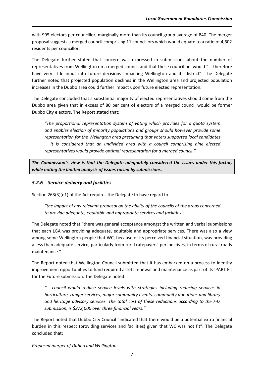with 995 electors per councillor, marginally more than its council group average of 840. The merger proposal suggests a merged council comprising 11 councillors which would equate to a ratio of 4,602 residents per councillor.

The Delegate further stated that concern was expressed in submissions about the number of representatives from Wellington on a merged council and that these councillors would "… therefore have very little input into future decisions impacting Wellington and its district". The Delegate further noted that projected population declines in the Wellington area and projected population increases in the Dubbo area could further impact upon future elected representation.

The Delegate concluded that a substantial majority of elected representatives should come from the Dubbo area given that in excess of 80 per cent of electors of a merged council would be former Dubbo City electors. The Report stated that:

*"The proportional representation system of voting which provides for a quota system and enables election of minority populations and groups should however provide some representation for the Wellington area presuming that voters supported local candidates … It is considered that an undivided area with a council comprising nine elected representatives would provide optimal representation for a merged council."*

*The Commission's view is that the Delegate adequately considered the issues under this factor, while noting the limited analysis of issues raised by submissions.*

# *5.2.6 Service delivery and facilities*

Section 263(3)(e1) of the Act requires the Delegate to have regard to:

*"the impact of any relevant proposal on the ability of the councils of the areas concerned to provide adequate, equitable and appropriate services and facilities".*

The Delegate noted that "there was general acceptance amongst the written and verbal submissions that each LGA was providing adequate, equitable and appropriate services. There was also a view among some Wellington people that WC, because of its perceived financial situation, was providing a less than adequate service, particularly from rural ratepayers' perspectives, in terms of rural roads maintenance."

The Report noted that Wellington Council submitted that it has embarked on a process to identify improvement opportunities to fund required assets renewal and maintenance as part of its IPART Fit for the Future submission. The Delegate noted:

*"… council would reduce service levels with strategies including reducing services in horticulture, ranger services, major community events, community donations and library and heritage advisory services. The total cost of these reductions according to the F4F submission, is \$272,000 over three financial years."*

The Report noted that Dubbo City Council "indicated that there would be a potential extra financial burden in this respect (providing services and facilities) given that WC was not fit". The Delegate concluded that: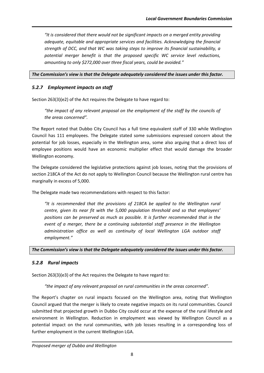*"It is considered that there would not be significant impacts on a merged entity providing adequate, equitable and appropriate services and facilities. Acknowledging the financial strength of DCC, and that WC was taking steps to improve its financial sustainability, a potential merger benefit is that the proposed specific WC service level reductions, amounting to only \$272,000 over three fiscal years, could be avoided."*

#### *The Commission's view is that the Delegate adequately considered the issues under this factor.*

#### *5.2.7 Employment impacts on staff*

Section 263(3)(e2) of the Act requires the Delegate to have regard to:

*"the impact of any relevant proposal on the employment of the staff by the councils of the areas concerned".*

The Report noted that Dubbo City Council has a full time equivalent staff of 330 while Wellington Council has 111 employees. The Delegate stated some submissions expressed concern about the potential for job losses, especially in the Wellington area, some also arguing that a direct loss of employee positions would have an economic multiplier effect that would damage the broader Wellington economy.

The Delegate considered the legislative protections against job losses, noting that the provisions of section 218CA of the Act do not apply to Wellington Council because the Wellington rural centre has marginally in excess of 5,000.

The Delegate made two recommendations with respect to this factor:

*"It is recommended that the provisions of 218CA be applied to the Wellington rural centre, given its near fit with the 5,000 population threshold and so that employees' positions can be preserved as much as possible. It is further recommended that in the event of a merger, there be a continuing substantial staff presence in the Wellington administration office as well as continuity of local Wellington LGA outdoor staff employment."*

*The Commission's view is that the Delegate adequately considered the issues under this factor.*

#### *5.2.8 Rural impacts*

Section 263(3)(e3) of the Act requires the Delegate to have regard to:

*"the impact of any relevant proposal on rural communities in the areas concerned".*

The Report's chapter on rural impacts focused on the Wellington area, noting that Wellington Council argued that the merger is likely to create negative impacts on its rural communities. Council submitted that projected growth in Dubbo City could occur at the expense of the rural lifestyle and environment in Wellington. Reduction in employment was viewed by Wellington Council as a potential impact on the rural communities, with job losses resulting in a corresponding loss of further employment in the current Wellington LGA.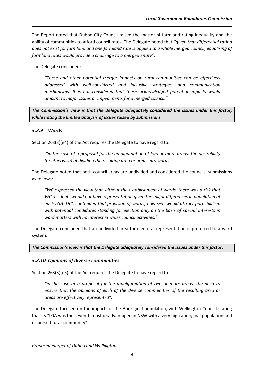The Report noted that Dubbo City Council raised the matter of farmland rating inequality and the ability of communities to afford council rates. The Delegate noted that *"given that differential rating does not exist for farmland and one farmland rate is applied to a whole merged council, equalising of farmland rates would provide a challenge to a merged entity".*

The Delegate concluded:

*"These and other potential merger impacts on rural communities can be effectively addressed with well-considered and inclusive strategies, and communication mechanisms. It is not considered that these acknowledged potential impacts would amount to major issues or impediments for a merged council."*

*The Commission's view is that the Delegate adequately considered the issues under this factor, while noting the limited analysis of issues raised by submissions.*

## *5.2.9 Wards*

Section 263(3)(e4) of the Act requires the Delegate to have regard to:

*"in the case of a proposal for the amalgamation of two or more areas, the desirability (or otherwise) of dividing the resulting area or areas into wards".*

The Delegate noted that both council areas are undivided and considered the councils' submissions as follows:

*"WC expressed the view that without the establishment of wards, there was a risk that WC residents would not have representation given the major differences in population of each LGA. DCC contended that provision of wards, however, would attract parochialism with potential candidates standing for election only on the basis of special interests in ward matters with no interest in wider council activities."*

The Delegate concluded that an undivided area for electoral representation is preferred to a ward system.

*The Commission's view is that the Delegate adequately considered the issues under this factor.*

## *5.2.10 Opinions of diverse communities*

Section 263(3)(e5) of the Act requires the Delegate to have regard to:

*"in the case of a proposal for the amalgamation of two or more areas, the need to ensure that the opinions of each of the diverse communities of the resulting area or areas are effectively represented".*

The Delegate focused on the impacts of the Aboriginal population, with Wellington Council stating that its "LGA was the seventh most disadvantaged in NSW with a very high aboriginal population and dispersed rural community".